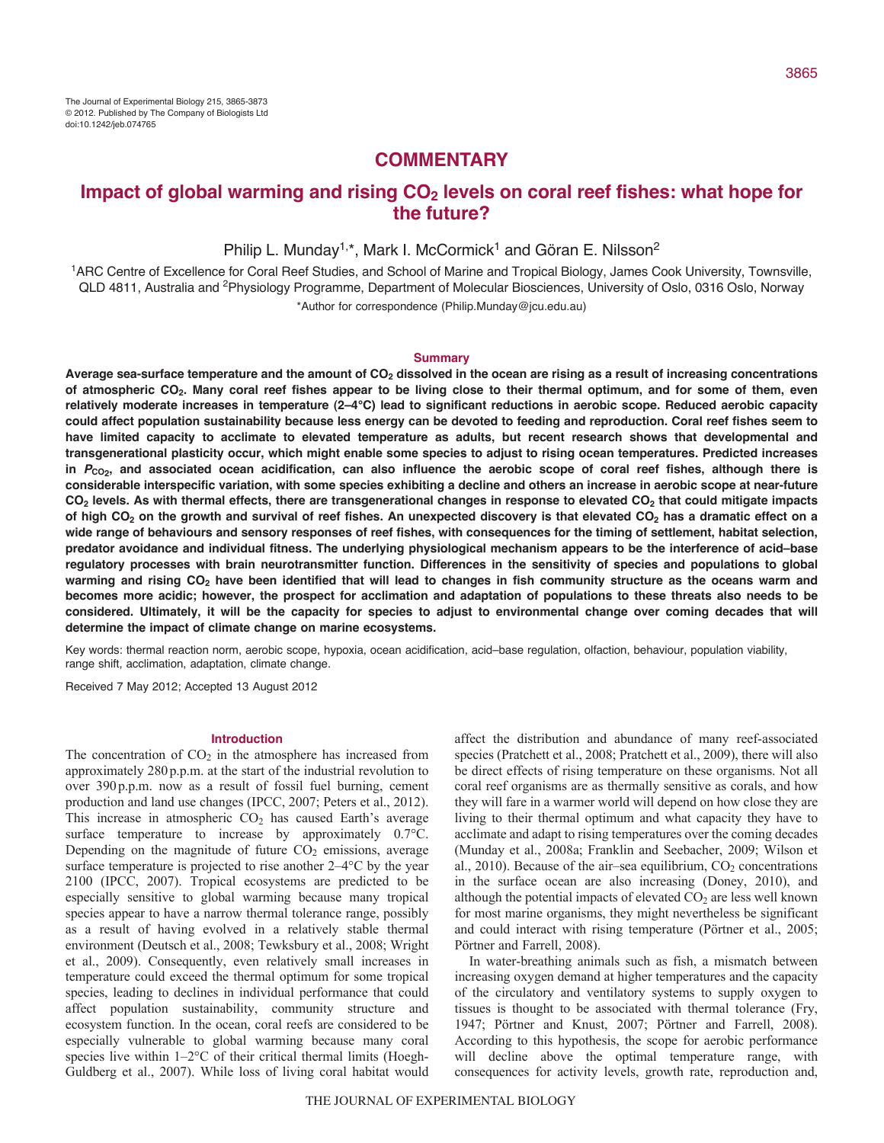# **COMMENTARY**

# Impact of global warming and rising CO<sub>2</sub> levels on coral reef fishes: what hope for **the future?**

Philip L. Munday<sup>1,\*</sup>, Mark I. McCormick<sup>1</sup> and Göran E. Nilsson<sup>2</sup>

1ARC Centre of Excellence for Coral Reef Studies, and School of Marine and Tropical Biology, James Cook University, Townsville, QLD 4811, Australia and 2Physiology Programme, Department of Molecular Biosciences, University of Oslo, 0316 Oslo, Norway \*Author for correspondence (Philip.Munday@jcu.edu.au)

#### **Summary**

Average sea-surface temperature and the amount of CO<sub>2</sub> dissolved in the ocean are rising as a result of increasing concentrations **of atmospheric CO2. Many coral reef fishes appear to be living close to their thermal optimum, and for some of them, even relatively moderate increases in temperature (2–4°C) lead to significant reductions in aerobic scope. Reduced aerobic capacity could affect population sustainability because less energy can be devoted to feeding and reproduction. Coral reef fishes seem to have limited capacity to acclimate to elevated temperature as adults, but recent research shows that developmental and transgenerational plasticity occur, which might enable some species to adjust to rising ocean temperatures. Predicted increases** in *P*<sub>CO2</sub>, and associated ocean acidification, can also influence the aerobic scope of coral reef fishes, although there is **considerable interspecific variation, with some species exhibiting a decline and others an increase in aerobic scope at near-future CO2 levels. As with thermal effects, there are transgenerational changes in response to elevated CO2 that could mitigate impacts** of high CO<sub>2</sub> on the growth and survival of reef fishes. An unexpected discovery is that elevated CO<sub>2</sub> has a dramatic effect on a **wide range of behaviours and sensory responses of reef fishes, with consequences for the timing of settlement, habitat selection, predator avoidance and individual fitness. The underlying physiological mechanism appears to be the interference of acid–base regulatory processes with brain neurotransmitter function. Differences in the sensitivity of species and populations to global** warming and rising CO<sub>2</sub> have been identified that will lead to changes in fish community structure as the oceans warm and **becomes more acidic; however, the prospect for acclimation and adaptation of populations to these threats also needs to be considered. Ultimately, it will be the capacity for species to adjust to environmental change over coming decades that will determine the impact of climate change on marine ecosystems.**

Key words: thermal reaction norm, aerobic scope, hypoxia, ocean acidification, acid–base regulation, olfaction, behaviour, population viability, range shift, acclimation, adaptation, climate change.

Received 7 May 2012; Accepted 13 August 2012

# **Introduction**

The concentration of  $CO<sub>2</sub>$  in the atmosphere has increased from approximately 280p.p.m. at the start of the industrial revolution to over 390p.p.m. now as a result of fossil fuel burning, cement production and land use changes (IPCC, 2007; Peters et al., 2012). This increase in atmospheric  $CO<sub>2</sub>$  has caused Earth's average surface temperature to increase by approximately  $0.7^{\circ}$ C. Depending on the magnitude of future  $CO<sub>2</sub>$  emissions, average surface temperature is projected to rise another 2–4°C by the year 2100 (IPCC, 2007). Tropical ecosystems are predicted to be especially sensitive to global warming because many tropical species appear to have a narrow thermal tolerance range, possibly as a result of having evolved in a relatively stable thermal environment (Deutsch et al., 2008; Tewksbury et al., 2008; Wright et al., 2009). Consequently, even relatively small increases in temperature could exceed the thermal optimum for some tropical species, leading to declines in individual performance that could affect population sustainability, community structure and ecosystem function. In the ocean, coral reefs are considered to be especially vulnerable to global warming because many coral species live within  $1-2$ °C of their critical thermal limits (Hoegh-Guldberg et al., 2007). While loss of living coral habitat would affect the distribution and abundance of many reef-associated species (Pratchett et al., 2008; Pratchett et al., 2009), there will also be direct effects of rising temperature on these organisms. Not all coral reef organisms are as thermally sensitive as corals, and how they will fare in a warmer world will depend on how close they are living to their thermal optimum and what capacity they have to acclimate and adapt to rising temperatures over the coming decades (Munday et al., 2008a; Franklin and Seebacher, 2009; Wilson et al., 2010). Because of the air–sea equilibrium,  $CO<sub>2</sub>$  concentrations in the surface ocean are also increasing (Doney, 2010), and although the potential impacts of elevated  $CO<sub>2</sub>$  are less well known for most marine organisms, they might nevertheless be significant and could interact with rising temperature (Pörtner et al., 2005; Pörtner and Farrell, 2008).

In water-breathing animals such as fish, a mismatch between increasing oxygen demand at higher temperatures and the capacity of the circulatory and ventilatory systems to supply oxygen to tissues is thought to be associated with thermal tolerance (Fry, 1947; Pörtner and Knust, 2007; Pörtner and Farrell, 2008). According to this hypothesis, the scope for aerobic performance will decline above the optimal temperature range, with consequences for activity levels, growth rate, reproduction and,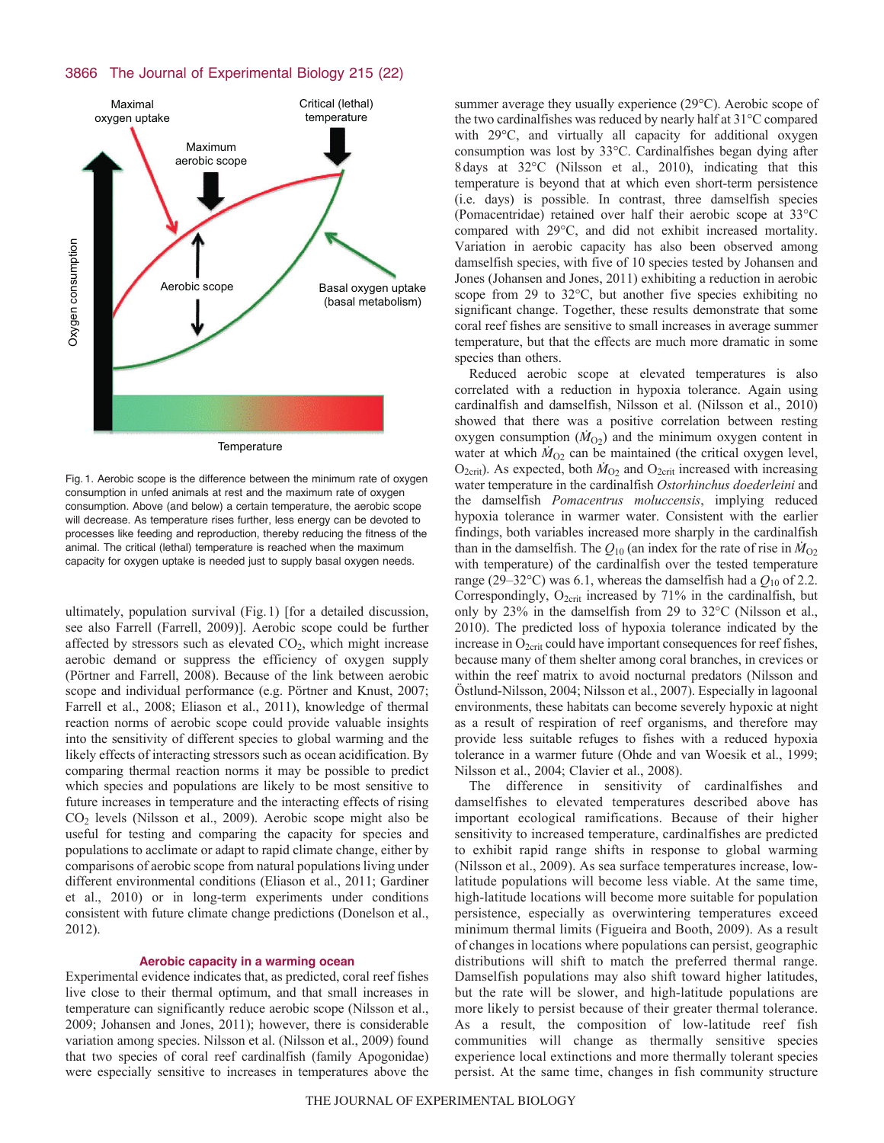# 3866 The Journal of Experimental Biology 215 (22)



Fig. 1. Aerobic scope is the difference between the minimum rate of oxygen consumption in unfed animals at rest and the maximum rate of oxygen consumption. Above (and below) a certain temperature, the aerobic scope will decrease. As temperature rises further, less energy can be devoted to processes like feeding and reproduction, thereby reducing the fitness of the animal. The critical (lethal) temperature is reached when the maximum capacity for oxygen uptake is needed just to supply basal oxygen needs.

ultimately, population survival (Fig.1) [for a detailed discussion, see also Farrell (Farrell, 2009)]. Aerobic scope could be further affected by stressors such as elevated  $CO<sub>2</sub>$ , which might increase aerobic demand or suppress the efficiency of oxygen supply (Pörtner and Farrell, 2008). Because of the link between aerobic scope and individual performance (e.g. Pörtner and Knust, 2007; Farrell et al., 2008; Eliason et al., 2011), knowledge of thermal reaction norms of aerobic scope could provide valuable insights into the sensitivity of different species to global warming and the likely effects of interacting stressors such as ocean acidification. By comparing thermal reaction norms it may be possible to predict which species and populations are likely to be most sensitive to future increases in temperature and the interacting effects of rising  $CO<sub>2</sub>$  levels (Nilsson et al., 2009). Aerobic scope might also be useful for testing and comparing the capacity for species and populations to acclimate or adapt to rapid climate change, either by comparisons of aerobic scope from natural populations living under different environmental conditions (Eliason et al., 2011; Gardiner et al., 2010) or in long-term experiments under conditions consistent with future climate change predictions (Donelson et al., 2012).

# **Aerobic capacity in a warming ocean**

Experimental evidence indicates that, as predicted, coral reef fishes live close to their thermal optimum, and that small increases in temperature can significantly reduce aerobic scope (Nilsson et al., 2009; Johansen and Jones, 2011); however, there is considerable variation among species. Nilsson et al. (Nilsson et al., 2009) found that two species of coral reef cardinalfish (family Apogonidae) were especially sensitive to increases in temperatures above the summer average they usually experience (29°C). Aerobic scope of the two cardinalfishes was reduced by nearly half at 31°C compared with 29°C, and virtually all capacity for additional oxygen consumption was lost by 33°C. Cardinalfishes began dying after 8days at 32°C (Nilsson et al., 2010), indicating that this temperature is beyond that at which even short-term persistence (i.e. days) is possible. In contrast, three damselfish species (Pomacentridae) retained over half their aerobic scope at 33°C compared with 29°C, and did not exhibit increased mortality. Variation in aerobic capacity has also been observed among damselfish species, with five of 10 species tested by Johansen and Jones (Johansen and Jones, 2011) exhibiting a reduction in aerobic scope from 29 to 32°C, but another five species exhibiting no significant change. Together, these results demonstrate that some coral reef fishes are sensitive to small increases in average summer temperature, but that the effects are much more dramatic in some species than others.

Reduced aerobic scope at elevated temperatures is also correlated with a reduction in hypoxia tolerance. Again using cardinalfish and damselfish, Nilsson et al. (Nilsson et al., 2010) showed that there was a positive correlation between resting oxygen consumption  $(M<sub>O2</sub>)$  and the minimum oxygen content in water at which  $\dot{M}_{O2}$  can be maintained (the critical oxygen level,  $O_{2\text{crit}}$ ). As expected, both  $\dot{M}_{O_2}$  and  $O_{2\text{crit}}$  increased with increasing water temperature in the cardinalfish *Ostorhinchus doederleini* and the damselfish *Pomacentrus moluccensis*, implying reduced hypoxia tolerance in warmer water. Consistent with the earlier findings, both variables increased more sharply in the cardinalfish than in the damselfish. The  $Q_{10}$  (an index for the rate of rise in  $\dot{M}_{O2}$ ) with temperature) of the cardinalfish over the tested temperature range (29–32°C) was 6.1, whereas the damselfish had a  $Q_{10}$  of 2.2. Correspondingly,  $O_{2\text{crit}}$  increased by 71% in the cardinalfish, but only by 23% in the damselfish from 29 to 32°C (Nilsson et al., 2010). The predicted loss of hypoxia tolerance indicated by the increase in  $O_{2\text{crit}}$  could have important consequences for reef fishes, because many of them shelter among coral branches, in crevices or within the reef matrix to avoid nocturnal predators (Nilsson and Östlund-Nilsson, 2004; Nilsson et al., 2007). Especially in lagoonal environments, these habitats can become severely hypoxic at night as a result of respiration of reef organisms, and therefore may provide less suitable refuges to fishes with a reduced hypoxia tolerance in a warmer future (Ohde and van Woesik et al., 1999; Nilsson et al., 2004; Clavier et al., 2008).

The difference in sensitivity of cardinalfishes and damselfishes to elevated temperatures described above has important ecological ramifications. Because of their higher sensitivity to increased temperature, cardinalfishes are predicted to exhibit rapid range shifts in response to global warming (Nilsson et al., 2009). As sea surface temperatures increase, lowlatitude populations will become less viable. At the same time, high-latitude locations will become more suitable for population persistence, especially as overwintering temperatures exceed minimum thermal limits (Figueira and Booth, 2009). As a result of changes in locations where populations can persist, geographic distributions will shift to match the preferred thermal range. Damselfish populations may also shift toward higher latitudes, but the rate will be slower, and high-latitude populations are more likely to persist because of their greater thermal tolerance. As a result, the composition of low-latitude reef fish communities will change as thermally sensitive species experience local extinctions and more thermally tolerant species persist. At the same time, changes in fish community structure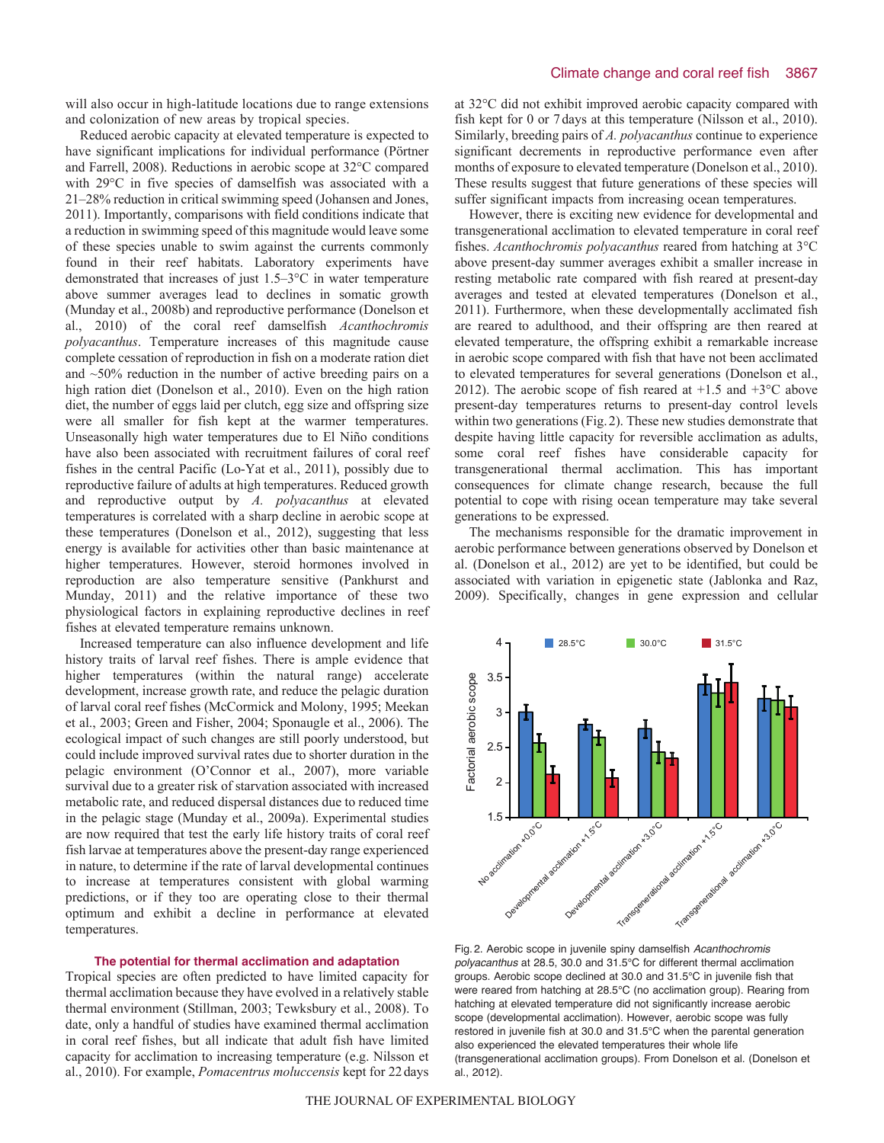will also occur in high-latitude locations due to range extensions and colonization of new areas by tropical species.

Reduced aerobic capacity at elevated temperature is expected to have significant implications for individual performance (Pörtner and Farrell, 2008). Reductions in aerobic scope at 32°C compared with 29°C in five species of damselfish was associated with a 21–28% reduction in critical swimming speed (Johansen and Jones, 2011). Importantly, comparisons with field conditions indicate that a reduction in swimming speed of this magnitude would leave some of these species unable to swim against the currents commonly found in their reef habitats. Laboratory experiments have demonstrated that increases of just 1.5–3°C in water temperature above summer averages lead to declines in somatic growth (Munday et al., 2008b) and reproductive performance (Donelson et al., 2010) of the coral reef damselfish *Acanthochromis polyacanthus*. Temperature increases of this magnitude cause complete cessation of reproduction in fish on a moderate ration diet and ~50% reduction in the number of active breeding pairs on a high ration diet (Donelson et al., 2010). Even on the high ration diet, the number of eggs laid per clutch, egg size and offspring size were all smaller for fish kept at the warmer temperatures. Unseasonally high water temperatures due to El Niño conditions have also been associated with recruitment failures of coral reef fishes in the central Pacific (Lo-Yat et al., 2011), possibly due to reproductive failure of adults at high temperatures. Reduced growth and reproductive output by *A. polyacanthus* at elevated temperatures is correlated with a sharp decline in aerobic scope at these temperatures (Donelson et al., 2012), suggesting that less energy is available for activities other than basic maintenance at higher temperatures. However, steroid hormones involved in reproduction are also temperature sensitive (Pankhurst and Munday, 2011) and the relative importance of these two physiological factors in explaining reproductive declines in reef fishes at elevated temperature remains unknown.

Increased temperature can also influence development and life history traits of larval reef fishes. There is ample evidence that higher temperatures (within the natural range) accelerate development, increase growth rate, and reduce the pelagic duration of larval coral reef fishes (McCormick and Molony, 1995; Meekan et al., 2003; Green and Fisher, 2004; Sponaugle et al., 2006). The ecological impact of such changes are still poorly understood, but could include improved survival rates due to shorter duration in the pelagic environment (O'Connor et al., 2007), more variable survival due to a greater risk of starvation associated with increased metabolic rate, and reduced dispersal distances due to reduced time in the pelagic stage (Munday et al., 2009a). Experimental studies are now required that test the early life history traits of coral reef fish larvae at temperatures above the present-day range experienced in nature, to determine if the rate of larval developmental continues to increase at temperatures consistent with global warming predictions, or if they too are operating close to their thermal optimum and exhibit a decline in performance at elevated temperatures.

# **The potential for thermal acclimation and adaptation**

Tropical species are often predicted to have limited capacity for thermal acclimation because they have evolved in a relatively stable thermal environment (Stillman, 2003; Tewksbury et al., 2008). To date, only a handful of studies have examined thermal acclimation in coral reef fishes, but all indicate that adult fish have limited capacity for acclimation to increasing temperature (e.g. Nilsson et al., 2010). For example, *Pomacentrus moluccensis* kept for 22days at 32°C did not exhibit improved aerobic capacity compared with fish kept for 0 or 7days at this temperature (Nilsson et al., 2010). Similarly, breeding pairs of *A. polyacanthus* continue to experience significant decrements in reproductive performance even after months of exposure to elevated temperature (Donelson et al., 2010). These results suggest that future generations of these species will suffer significant impacts from increasing ocean temperatures.

However, there is exciting new evidence for developmental and transgenerational acclimation to elevated temperature in coral reef fishes. *Acanthochromis polyacanthus* reared from hatching at 3°C above present-day summer averages exhibit a smaller increase in resting metabolic rate compared with fish reared at present-day averages and tested at elevated temperatures (Donelson et al., 2011). Furthermore, when these developmentally acclimated fish are reared to adulthood, and their offspring are then reared at elevated temperature, the offspring exhibit a remarkable increase in aerobic scope compared with fish that have not been acclimated to elevated temperatures for several generations (Donelson et al., 2012). The aerobic scope of fish reared at  $+1.5$  and  $+3$ °C above present-day temperatures returns to present-day control levels within two generations (Fig.2). These new studies demonstrate that despite having little capacity for reversible acclimation as adults, some coral reef fishes have considerable capacity for transgenerational thermal acclimation. This has important consequences for climate change research, because the full potential to cope with rising ocean temperature may take several generations to be expressed.

The mechanisms responsible for the dramatic improvement in aerobic performance between generations observed by Donelson et al. (Donelson et al., 2012) are yet to be identified, but could be associated with variation in epigenetic state (Jablonka and Raz, 2009). Specifically, changes in gene expression and cellular



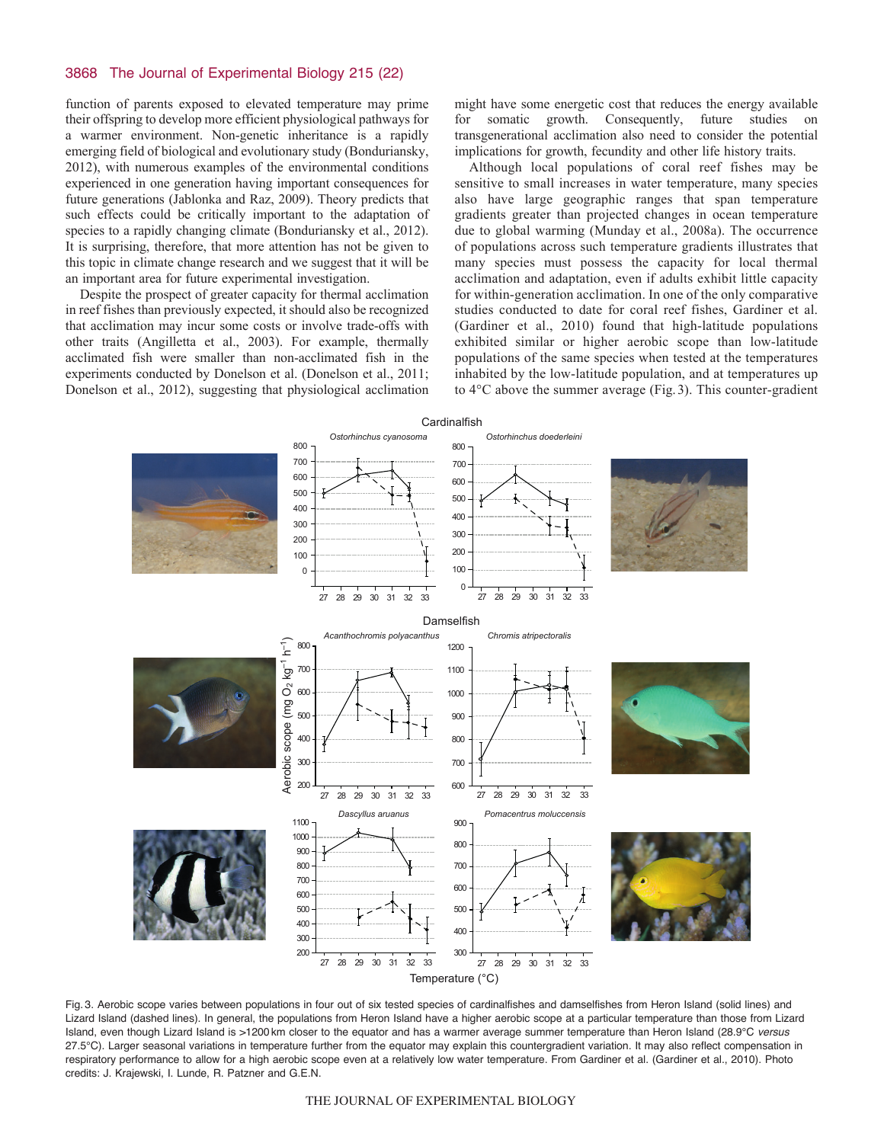# 3868 The Journal of Experimental Biology 215 (22)

function of parents exposed to elevated temperature may prime their offspring to develop more efficient physiological pathways for a warmer environment. Non-genetic inheritance is a rapidly emerging field of biological and evolutionary study (Bonduriansky, 2012), with numerous examples of the environmental conditions experienced in one generation having important consequences for future generations (Jablonka and Raz, 2009). Theory predicts that such effects could be critically important to the adaptation of species to a rapidly changing climate (Bonduriansky et al., 2012). It is surprising, therefore, that more attention has not be given to this topic in climate change research and we suggest that it will be an important area for future experimental investigation.

Despite the prospect of greater capacity for thermal acclimation in reef fishes than previously expected, it should also be recognized that acclimation may incur some costs or involve trade-offs with other traits (Angilletta et al., 2003). For example, thermally acclimated fish were smaller than non-acclimated fish in the experiments conducted by Donelson et al. (Donelson et al., 2011; Donelson et al., 2012), suggesting that physiological acclimation

might have some energetic cost that reduces the energy available for somatic growth. Consequently, future studies on transgenerational acclimation also need to consider the potential implications for growth, fecundity and other life history traits.

Although local populations of coral reef fishes may be sensitive to small increases in water temperature, many species also have large geographic ranges that span temperature gradients greater than projected changes in ocean temperature due to global warming (Munday et al., 2008a). The occurrence of populations across such temperature gradients illustrates that many species must possess the capacity for local thermal acclimation and adaptation, even if adults exhibit little capacity for within-generation acclimation. In one of the only comparative studies conducted to date for coral reef fishes, Gardiner et al. (Gardiner et al., 2010) found that high-latitude populations exhibited similar or higher aerobic scope than low-latitude populations of the same species when tested at the temperatures inhabited by the low-latitude population, and at temperatures up to 4°C above the summer average (Fig.3). This counter-gradient



Fig. 3. Aerobic scope varies between populations in four out of six tested species of cardinalfishes and damselfishes from Heron Island (solid lines) and Lizard Island (dashed lines). In general, the populations from Heron Island have a higher aerobic scope at a particular temperature than those from Lizard Island, even though Lizard Island is >1200 km closer to the equator and has a warmer average summer temperature than Heron Island (28.9°C *versus* 27.5°C). Larger seasonal variations in temperature further from the equator may explain this countergradient variation. It may also reflect compensation in respiratory performance to allow for a high aerobic scope even at a relatively low water temperature. From Gardiner et al. (Gardiner et al., 2010). Photo credits: J. Krajewski, I. Lunde, R. Patzner and G.E.N.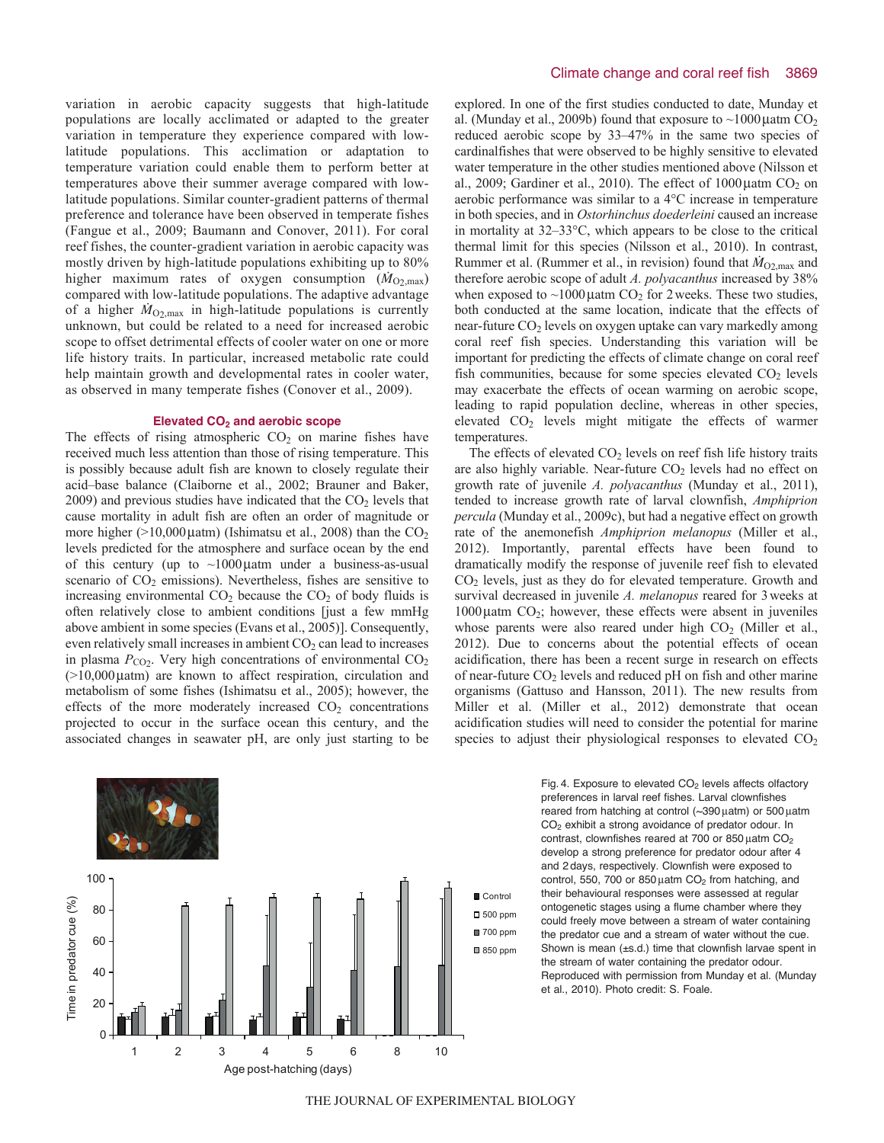variation in aerobic capacity suggests that high-latitude populations are locally acclimated or adapted to the greater variation in temperature they experience compared with lowlatitude populations. This acclimation or adaptation to temperature variation could enable them to perform better at temperatures above their summer average compared with lowlatitude populations. Similar counter-gradient patterns of thermal preference and tolerance have been observed in temperate fishes (Fangue et al., 2009; Baumann and Conover, 2011). For coral reef fishes, the counter-gradient variation in aerobic capacity was mostly driven by high-latitude populations exhibiting up to 80% higher maximum rates of oxygen consumption  $(M_{O2, max})$ compared with low-latitude populations. The adaptive advantage of a higher  $M_{\text{O}_2,\text{max}}$  in high-latitude populations is currently unknown, but could be related to a need for increased aerobic scope to offset detrimental effects of cooler water on one or more life history traits. In particular, increased metabolic rate could help maintain growth and developmental rates in cooler water, as observed in many temperate fishes (Conover et al., 2009).

### **Elevated CO2 and aerobic scope**

The effects of rising atmospheric  $CO<sub>2</sub>$  on marine fishes have received much less attention than those of rising temperature. This is possibly because adult fish are known to closely regulate their acid–base balance (Claiborne et al., 2002; Brauner and Baker,  $2009$ ) and previous studies have indicated that the  $CO<sub>2</sub>$  levels that cause mortality in adult fish are often an order of magnitude or more higher ( $>10,000$  µatm) (Ishimatsu et al., 2008) than the  $CO<sub>2</sub>$ levels predicted for the atmosphere and surface ocean by the end of this century (up to  $\sim$ 1000 µatm under a business-as-usual scenario of  $CO<sub>2</sub>$  emissions). Nevertheless, fishes are sensitive to increasing environmental  $CO<sub>2</sub>$  because the  $CO<sub>2</sub>$  of body fluids is often relatively close to ambient conditions [just a few mmHg above ambient in some species (Evans et al., 2005)]. Consequently, even relatively small increases in ambient  $CO<sub>2</sub>$  can lead to increases in plasma  $P_{CO2}$ . Very high concentrations of environmental  $CO<sub>2</sub>$  $(>10,000 \mu$ atm) are known to affect respiration, circulation and metabolism of some fishes (Ishimatsu et al., 2005); however, the effects of the more moderately increased  $CO<sub>2</sub>$  concentrations projected to occur in the surface ocean this century, and the associated changes in seawater pH, are only just starting to be



explored. In one of the first studies conducted to date, Munday et al. (Munday et al., 2009b) found that exposure to  $\sim$ 1000  $\mu$ atm CO<sub>2</sub> reduced aerobic scope by 33–47% in the same two species of cardinalfishes that were observed to be highly sensitive to elevated water temperature in the other studies mentioned above (Nilsson et al., 2009; Gardiner et al., 2010). The effect of  $1000 \mu$ atm CO<sub>2</sub> on aerobic performance was similar to a 4°C increase in temperature in both species, and in *Ostorhinchus doederleini* caused an increase in mortality at 32–33°C, which appears to be close to the critical thermal limit for this species (Nilsson et al., 2010). In contrast, Rummer et al. (Rummer et al., in revision) found that  $\dot{M}_{\text{O2,max}}$  and therefore aerobic scope of adult *A. polyacanthus* increased by 38% when exposed to  $\sim$ 1000 $\mu$ atm CO<sub>2</sub> for 2 weeks. These two studies, both conducted at the same location, indicate that the effects of near-future CO<sub>2</sub> levels on oxygen uptake can vary markedly among coral reef fish species. Understanding this variation will be important for predicting the effects of climate change on coral reef fish communities, because for some species elevated  $CO<sub>2</sub>$  levels may exacerbate the effects of ocean warming on aerobic scope, leading to rapid population decline, whereas in other species, elevated CO2 levels might mitigate the effects of warmer temperatures.

The effects of elevated  $CO<sub>2</sub>$  levels on reef fish life history traits are also highly variable. Near-future  $CO<sub>2</sub>$  levels had no effect on growth rate of juvenile *A. polyacanthus* (Munday et al., 2011), tended to increase growth rate of larval clownfish, *Amphiprion percula* (Munday et al., 2009c), but had a negative effect on growth rate of the anemonefish *Amphiprion melanopus* (Miller et al., 2012). Importantly, parental effects have been found to dramatically modify the response of juvenile reef fish to elevated CO2 levels, just as they do for elevated temperature. Growth and survival decreased in juvenile *A. melanopus* reared for 3weeks at  $1000\mu$ atm  $CO<sub>2</sub>$ ; however, these effects were absent in juveniles whose parents were also reared under high  $CO<sub>2</sub>$  (Miller et al., 2012). Due to concerns about the potential effects of ocean acidification, there has been a recent surge in research on effects of near-future  $CO<sub>2</sub>$  levels and reduced pH on fish and other marine organisms (Gattuso and Hansson, 2011). The new results from Miller et al. (Miller et al., 2012) demonstrate that ocean acidification studies will need to consider the potential for marine species to adjust their physiological responses to elevated  $CO<sub>2</sub>$ 

> Fig. 4. Exposure to elevated  $CO<sub>2</sub>$  levels affects olfactory preferences in larval reef fishes. Larval clownfishes reared from hatching at control  $(\sim]390 \mu$ atm) or 500  $\mu$ atm CO2 exhibit a strong avoidance of predator odour. In contrast, clownfishes reared at 700 or 850  $\mu$ atm CO<sub>2</sub> develop a strong preference for predator odour after 4 and 2 days, respectively. Clownfish were exposed to control, 550, 700 or 850  $\mu$ atm CO<sub>2</sub> from hatching, and their behavioural responses were assessed at regular ontogenetic stages using a flume chamber where they could freely move between a stream of water containing the predator cue and a stream of water without the cue. Shown is mean (±s.d.) time that clownfish larvae spent in the stream of water containing the predator odour. Reproduced with permission from Munday et al. (Munday et al., 2010). Photo credit: S. Foale.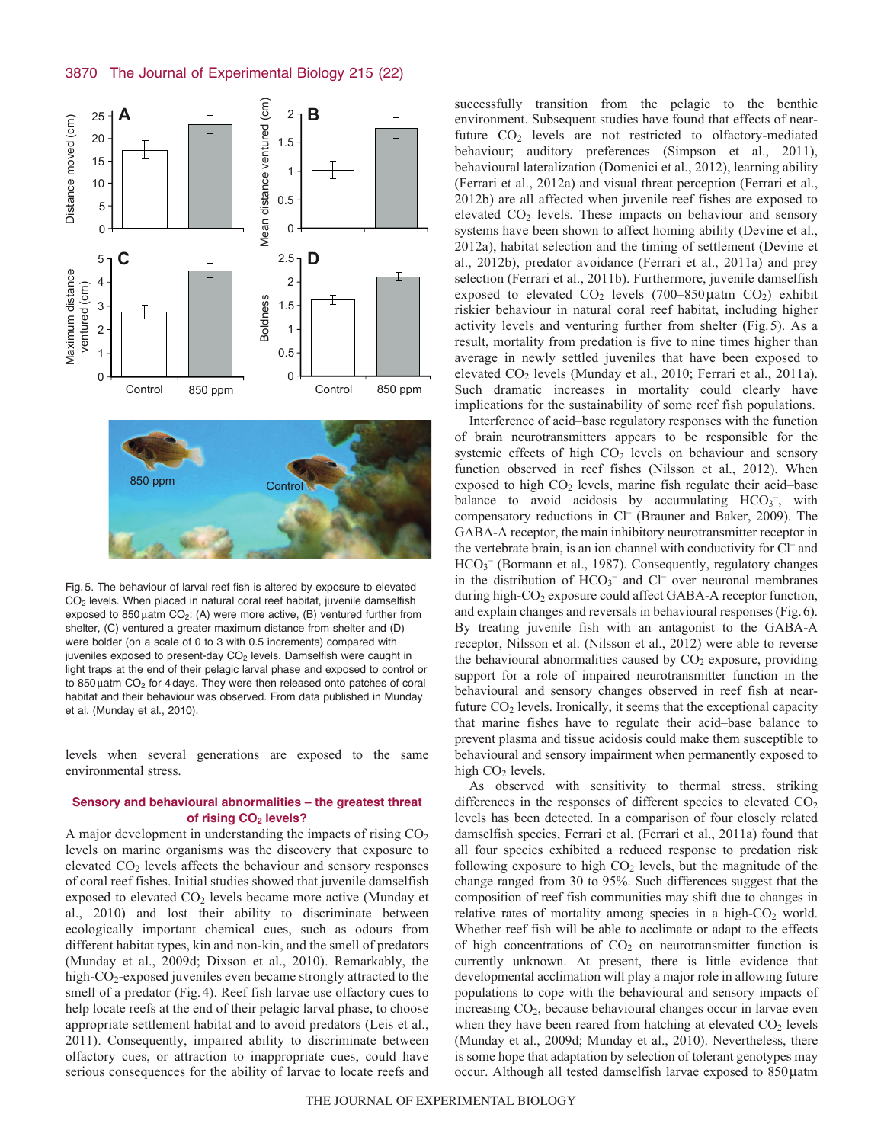

Fig. 5. The behaviour of larval reef fish is altered by exposure to elevated CO2 levels. When placed in natural coral reef habitat, juvenile damselfish exposed to 850  $\mu$ atm CO<sub>2</sub>: (A) were more active, (B) ventured further from shelter, (C) ventured a greater maximum distance from shelter and (D) were bolder (on a scale of 0 to 3 with 0.5 increments) compared with juveniles exposed to present-day  $CO<sub>2</sub>$  levels. Damselfish were caught in light traps at the end of their pelagic larval phase and exposed to control or to 850  $\mu$ atm CO<sub>2</sub> for 4 days. They were then released onto patches of coral habitat and their behaviour was observed. From data published in Munday et al. (Munday et al., 2010).

levels when several generations are exposed to the same environmental stress.

# **Sensory and behavioural abnormalities – the greatest threat of rising CO2 levels?**

A major development in understanding the impacts of rising  $CO<sub>2</sub>$ levels on marine organisms was the discovery that exposure to elevated CO<sub>2</sub> levels affects the behaviour and sensory responses of coral reef fishes. Initial studies showed that juvenile damselfish exposed to elevated  $CO<sub>2</sub>$  levels became more active (Munday et al., 2010) and lost their ability to discriminate between ecologically important chemical cues, such as odours from different habitat types, kin and non-kin, and the smell of predators (Munday et al., 2009d; Dixson et al., 2010). Remarkably, the high-CO<sub>2</sub>-exposed juveniles even became strongly attracted to the smell of a predator (Fig. 4). Reef fish larvae use olfactory cues to help locate reefs at the end of their pelagic larval phase, to choose appropriate settlement habitat and to avoid predators (Leis et al., 2011). Consequently, impaired ability to discriminate between olfactory cues, or attraction to inappropriate cues, could have serious consequences for the ability of larvae to locate reefs and successfully transition from the pelagic to the benthic environment. Subsequent studies have found that effects of nearfuture CO<sub>2</sub> levels are not restricted to olfactory-mediated behaviour; auditory preferences (Simpson et al., 2011), behavioural lateralization (Domenici et al., 2012), learning ability (Ferrari et al., 2012a) and visual threat perception (Ferrari et al., 2012b) are all affected when juvenile reef fishes are exposed to elevated CO<sub>2</sub> levels. These impacts on behaviour and sensory systems have been shown to affect homing ability (Devine et al., 2012a), habitat selection and the timing of settlement (Devine et al., 2012b), predator avoidance (Ferrari et al., 2011a) and prey selection (Ferrari et al., 2011b). Furthermore, juvenile damselfish exposed to elevated  $CO<sub>2</sub>$  levels (700–850 µatm  $CO<sub>2</sub>$ ) exhibit riskier behaviour in natural coral reef habitat, including higher activity levels and venturing further from shelter (Fig.5). As a result, mortality from predation is five to nine times higher than average in newly settled juveniles that have been exposed to elevated CO2 levels (Munday et al., 2010; Ferrari et al., 2011a). Such dramatic increases in mortality could clearly have implications for the sustainability of some reef fish populations.

Interference of acid–base regulatory responses with the function of brain neurotransmitters appears to be responsible for the systemic effects of high  $CO<sub>2</sub>$  levels on behaviour and sensory function observed in reef fishes (Nilsson et al., 2012). When exposed to high  $CO<sub>2</sub>$  levels, marine fish regulate their acid–base balance to avoid acidosis by accumulating  $HCO_3^-$ , with compensatory reductions in Cl<sup>-</sup> (Brauner and Baker, 2009). The GABA-A receptor, the main inhibitory neurotransmitter receptor in the vertebrate brain, is an ion channel with conductivity for Cl– and HCO<sub>3</sub><sup>-</sup> (Bormann et al., 1987). Consequently, regulatory changes in the distribution of  $HCO<sub>3</sub><sup>-</sup>$  and  $Cl<sup>-</sup>$  over neuronal membranes during high-CO<sub>2</sub> exposure could affect GABA-A receptor function, and explain changes and reversals in behavioural responses (Fig.6). By treating juvenile fish with an antagonist to the GABA-A receptor, Nilsson et al. (Nilsson et al., 2012) were able to reverse the behavioural abnormalities caused by  $CO<sub>2</sub>$  exposure, providing support for a role of impaired neurotransmitter function in the behavioural and sensory changes observed in reef fish at nearfuture  $CO<sub>2</sub>$  levels. Ironically, it seems that the exceptional capacity that marine fishes have to regulate their acid–base balance to prevent plasma and tissue acidosis could make them susceptible to behavioural and sensory impairment when permanently exposed to high  $CO<sub>2</sub>$  levels.

As observed with sensitivity to thermal stress, striking differences in the responses of different species to elevated  $CO<sub>2</sub>$ levels has been detected. In a comparison of four closely related damselfish species, Ferrari et al. (Ferrari et al., 2011a) found that all four species exhibited a reduced response to predation risk following exposure to high  $CO<sub>2</sub>$  levels, but the magnitude of the change ranged from 30 to 95%. Such differences suggest that the composition of reef fish communities may shift due to changes in relative rates of mortality among species in a high- $CO<sub>2</sub>$  world. Whether reef fish will be able to acclimate or adapt to the effects of high concentrations of  $CO<sub>2</sub>$  on neurotransmitter function is currently unknown. At present, there is little evidence that developmental acclimation will play a major role in allowing future populations to cope with the behavioural and sensory impacts of increasing  $CO<sub>2</sub>$ , because behavioural changes occur in larvae even when they have been reared from hatching at elevated  $CO<sub>2</sub>$  levels (Munday et al., 2009d; Munday et al., 2010). Nevertheless, there is some hope that adaptation by selection of tolerant genotypes may occur. Although all tested damselfish larvae exposed to 850 µatm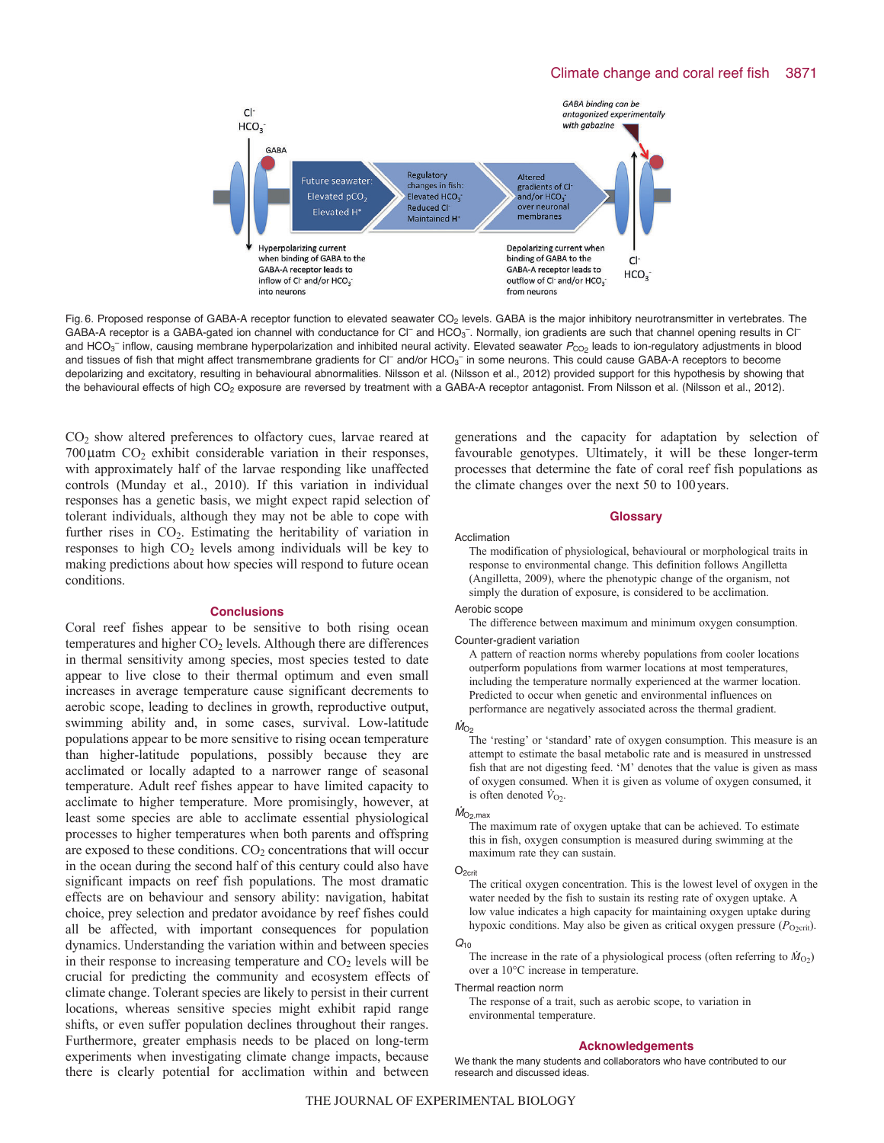

Fig. 6. Proposed response of GABA-A receptor function to elevated seawater CO<sub>2</sub> levels. GABA is the major inhibitory neurotransmitter in vertebrates. The GABA-A receptor is a GABA-gated ion channel with conductance for CI<sup>-</sup> and HCO<sub>3</sub><sup>-</sup>. Normally, ion gradients are such that channel opening results in CI<sup>-</sup> and HCO<sub>3</sub><sup>-</sup> inflow, causing membrane hyperpolarization and inhibited neural activity. Elevated seawater  $P_{\rm CO2}$  leads to ion-regulatory adjustments in blood and tissues of fish that might affect transmembrane gradients for CI<sup>-</sup> and/or HCO<sub>3</sub><sup>-</sup> in some neurons. This could cause GABA-A receptors to become depolarizing and excitatory, resulting in behavioural abnormalities. Nilsson et al. (Nilsson et al., 2012) provided support for this hypothesis by showing that the behavioural effects of high CO<sub>2</sub> exposure are reversed by treatment with a GABA-A receptor antagonist. From Nilsson et al. (Nilsson et al., 2012).

CO2 show altered preferences to olfactory cues, larvae reared at  $700\mu$ atm  $CO<sub>2</sub>$  exhibit considerable variation in their responses, with approximately half of the larvae responding like unaffected controls (Munday et al., 2010). If this variation in individual responses has a genetic basis, we might expect rapid selection of tolerant individuals, although they may not be able to cope with further rises in  $CO<sub>2</sub>$ . Estimating the heritability of variation in responses to high  $CO<sub>2</sub>$  levels among individuals will be key to making predictions about how species will respond to future ocean conditions.

# **Conclusions**

Coral reef fishes appear to be sensitive to both rising ocean temperatures and higher  $CO<sub>2</sub>$  levels. Although there are differences in thermal sensitivity among species, most species tested to date appear to live close to their thermal optimum and even small increases in average temperature cause significant decrements to aerobic scope, leading to declines in growth, reproductive output, swimming ability and, in some cases, survival. Low-latitude populations appear to be more sensitive to rising ocean temperature than higher-latitude populations, possibly because they are acclimated or locally adapted to a narrower range of seasonal temperature. Adult reef fishes appear to have limited capacity to acclimate to higher temperature. More promisingly, however, at least some species are able to acclimate essential physiological processes to higher temperatures when both parents and offspring are exposed to these conditions.  $CO<sub>2</sub>$  concentrations that will occur in the ocean during the second half of this century could also have significant impacts on reef fish populations. The most dramatic effects are on behaviour and sensory ability: navigation, habitat choice, prey selection and predator avoidance by reef fishes could all be affected, with important consequences for population dynamics. Understanding the variation within and between species in their response to increasing temperature and  $CO<sub>2</sub>$  levels will be crucial for predicting the community and ecosystem effects of climate change. Tolerant species are likely to persist in their current locations, whereas sensitive species might exhibit rapid range shifts, or even suffer population declines throughout their ranges. Furthermore, greater emphasis needs to be placed on long-term experiments when investigating climate change impacts, because there is clearly potential for acclimation within and between generations and the capacity for adaptation by selection of favourable genotypes. Ultimately, it will be these longer-term processes that determine the fate of coral reef fish populations as the climate changes over the next 50 to 100years.

### **Glossary**

#### Acclimation

The modification of physiological, behavioural or morphological traits in response to environmental change. This definition follows Angilletta (Angilletta, 2009), where the phenotypic change of the organism, not simply the duration of exposure, is considered to be acclimation.

#### Aerobic scope

The difference between maximum and minimum oxygen consumption. Counter-gradient variation

A pattern of reaction norms whereby populations from cooler locations outperform populations from warmer locations at most temperatures, including the temperature normally experienced at the warmer location. Predicted to occur when genetic and environmental influences on performance are negatively associated across the thermal gradient.

 $\dot{M}_{\text{O}_2}$ <br>The 'resting' or 'standard' rate of oxygen consumption. This measure is an attempt to estimate the basal metabolic rate and is measured in unstressed fish that are not digesting feed. 'M' denotes that the value is given as mass of oxygen consumed. When it is given as volume of oxygen consumed, it is often denoted  $V_{O2}$ .

# $\dot{M}_{\rm O_2,max}$

The maximum rate of oxygen uptake that can be achieved. To estimate this in fish, oxygen consumption is measured during swimming at the maximum rate they can sustain.

## O<sub>2crit</sub>

The critical oxygen concentration. This is the lowest level of oxygen in the water needed by the fish to sustain its resting rate of oxygen uptake. A low value indicates a high capacity for maintaining oxygen uptake during hypoxic conditions. May also be given as critical oxygen pressure  $(P_{O\text{2crit}})$ .

### *Q*<sup>10</sup>

The increase in the rate of a physiological process (often referring to  $\dot{M}_{\text{O2}}$ ) over a 10°C increase in temperature.

Thermal reaction norm

The response of a trait, such as aerobic scope, to variation in environmental temperature.

#### **Acknowledgements**

We thank the many students and collaborators who have contributed to our research and discussed ideas.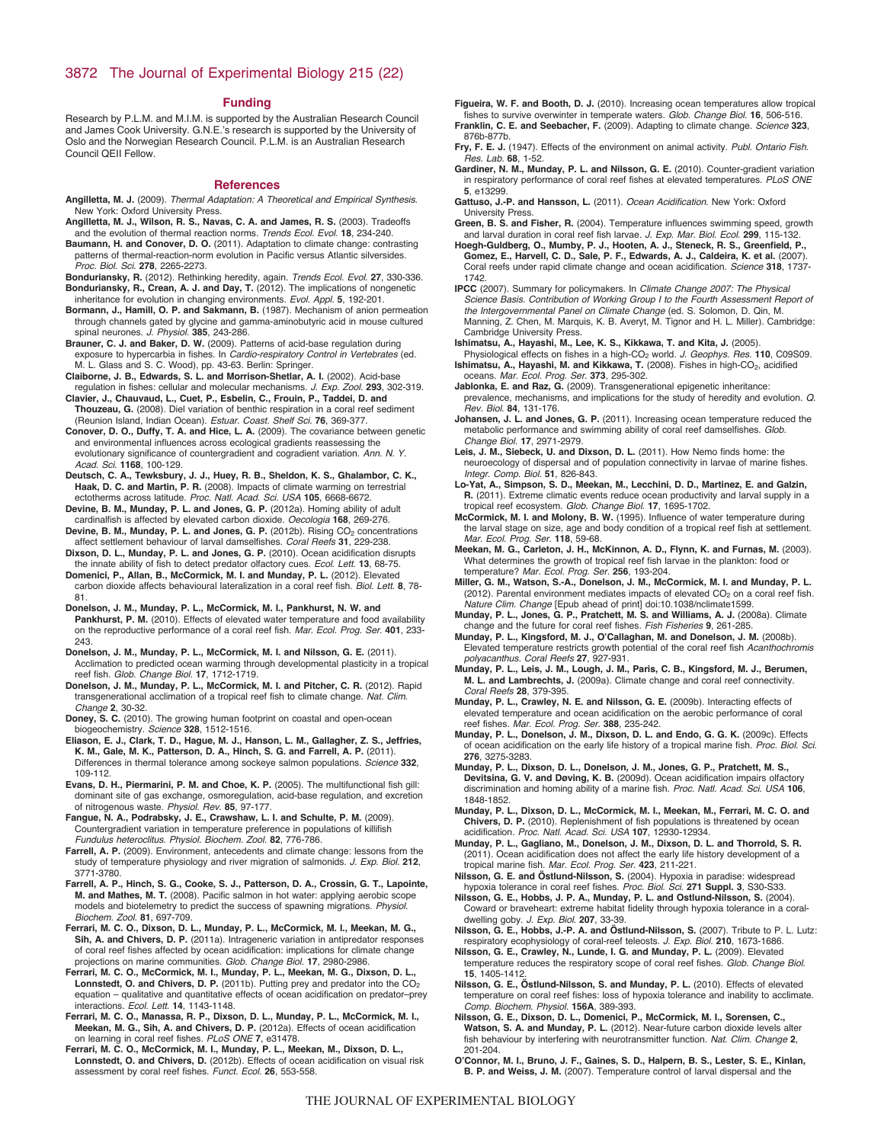# 3872 The Journal of Experimental Biology 215 (22)

#### **Funding**

Research by P.L.M. and M.I.M. is supported by the Australian Research Council and James Cook University. G.N.E.'s research is supported by the University of Oslo and the Norwegian Research Council. P.L.M. is an Australian Research Council QEII Fellow.

#### **References**

- **Angilletta, M. J.** (2009). *Thermal Adaptation: A Theoretical and Empirical Synthesis*. New York: Oxford University Press.
- **Angilletta, M. J., Wilson, R. S., Navas, C. A. and James, R. S.** (2003). Tradeoffs and the evolution of thermal reaction norms. *Trends Ecol. Evol.* **18**, 234-240.
- **Baumann, H. and Conover, D. O.** (2011). Adaptation to climate change: contrasting patterns of thermal-reaction-norm evolution in Pacific versus Atlantic silversides. *Proc. Biol. Sci.* **278**, 2265-2273.
- **Bonduriansky, R.** (2012). Rethinking heredity, again. *Trends Ecol. Evol.* **27**, 330-336. **Bonduriansky, R., Crean, A. J. and Day, T.** (2012). The implications of nongenetic inheritance for evolution in changing environments. *Evol. Appl.* **5**, 192-201.
- **Bormann, J., Hamill, O. P. and Sakmann, B.** (1987). Mechanism of anion permeation through channels gated by glycine and gamma-aminobutyric acid in mouse cultured spinal neurones. *J. Physiol.* **385**, 243-286.
- **Brauner, C. J. and Baker, D. W.** (2009). Patterns of acid-base regulation during exposure to hypercarbia in fishes. In *Cardio-respiratory Control in Vertebrates* (ed. M. L. Glass and S. C. Wood), pp. 43-63. Berlin: Springer.
- **Claiborne, J. B., Edwards, S. L. and Morrison-Shetlar, A. I.** (2002). Acid-base regulation in fishes: cellular and molecular mechanisms. *J. Exp. Zool.* **293**, 302-319.

**Clavier, J., Chauvaud, L., Cuet, P., Esbelin, C., Frouin, P., Taddei, D. and Thouzeau, G.** (2008). Diel variation of benthic respiration in a coral reef sediment (Reunion Island, Indian Ocean). *Estuar. Coast. Shelf Sci.* **76**, 369-377.

**Conover, D. O., Duffy, T. A. and Hice, L. A.** (2009). The covariance between genetic and environmental influences across ecological gradients reassessing the evolutionary significance of countergradient and cogradient variation. *Ann. N. Y. Acad. Sci.* **1168**, 100-129.

**Deutsch, C. A., Tewksbury, J. J., Huey, R. B., Sheldon, K. S., Ghalambor, C. K., Haak, D. C. and Martin, P. R.** (2008). Impacts of climate warming on terrestrial ectotherms across latitude. *Proc. Natl. Acad. Sci. USA* **105**, 6668-6672.

**Devine, B. M., Munday, P. L. and Jones, G. P.** (2012a). Homing ability of adult cardinalfish is affected by elevated carbon dioxide. *Oecologia* **168**, 269-276.

**Devine, B. M., Munday, P. L. and Jones, G. P.** (2012b). Rising CO<sub>2</sub> concentrations affect settlement behaviour of larval damselfishes. *Coral Reefs* **31**, 229-238.

**Dixson, D. L., Munday, P. L. and Jones, G. P.** (2010). Ocean acidification disrupts the innate ability of fish to detect predator olfactory cues. *Ecol. Lett.* **13**, 68-75. **Domenici, P., Allan, B., McCormick, M. I. and Munday, P. L.** (2012). Elevated

carbon dioxide affects behavioural lateralization in a coral reef fish. *Biol. Lett.* **8**, 78- 81.

**Donelson, J. M., Munday, P. L., McCormick, M. I., Pankhurst, N. W. and Pankhurst, P. M.** (2010). Effects of elevated water temperature and food availability on the reproductive performance of a coral reef fish. *Mar. Ecol. Prog. Ser.* **401**, 233- 243.

**Donelson, J. M., Munday, P. L., McCormick, M. I. and Nilsson, G. E.** (2011). Acclimation to predicted ocean warming through developmental plasticity in a tropical reef fish. *Glob. Change Biol.* **17**, 1712-1719.

- **Donelson, J. M., Munday, P. L., McCormick, M. I. and Pitcher, C. R.** (2012). Rapid transgenerational acclimation of a tropical reef fish to climate change. *Nat. Clim. Change* **2**, 30-32.
- **Doney, S. C.** (2010). The growing human footprint on coastal and open-ocean biogeochemistry. *Science* **328**, 1512-1516.
- **Eliason, E. J., Clark, T. D., Hague, M. J., Hanson, L. M., Gallagher, Z. S., Jeffries, K. M., Gale, M. K., Patterson, D. A., Hinch, S. G. and Farrell, A. P.** (2011). Differences in thermal tolerance among sockeye salmon populations. *Science* **332**, 109-112.
- **Evans, D. H., Piermarini, P. M. and Choe, K. P.** (2005). The multifunctional fish gill: dominant site of gas exchange, osmoregulation, acid-base regulation, and excretion of nitrogenous waste. *Physiol. Rev.* **85**, 97-177.
- **Fangue, N. A., Podrabsky, J. E., Crawshaw, L. I. and Schulte, P. M.** (2009). Countergradient variation in temperature preference in populations of killifish *Fundulus heteroclitus*. *Physiol. Biochem. Zool.* **82**, 776-786.
- **Farrell, A. P.** (2009). Environment, antecedents and climate change: lessons from the study of temperature physiology and river migration of salmonids. *J. Exp. Biol.* **212**, 3771-3780.
- **Farrell, A. P., Hinch, S. G., Cooke, S. J., Patterson, D. A., Crossin, G. T., Lapointe, M. and Mathes, M. T.** (2008). Pacific salmon in hot water: applying aerobic scope models and biotelemetry to predict the success of spawning migrations. *Physiol. Biochem. Zool.* **81**, 697-709.
- **Ferrari, M. C. O., Dixson, D. L., Munday, P. L., McCormick, M. I., Meekan, M. G., Sih, A. and Chivers, D. P.** (2011a). Intrageneric variation in antipredator responses of coral reef fishes affected by ocean acidification: implications for climate change projections on marine communities. *Glob. Change Biol.* **17**, 2980-2986.
- **Ferrari, M. C. O., McCormick, M. I., Munday, P. L., Meekan, M. G., Dixson, D. L., Lonnstedt, O. and Chivers, D. P.** (2011b). Putting prey and predator into the CO<sub>2</sub> equation – qualitative and quantitative effects of ocean acidification on predator–prey interactions. *Ecol. Lett.* **14**, 1143-1148.
- **Ferrari, M. C. O., Manassa, R. P., Dixson, D. L., Munday, P. L., McCormick, M. I., Meekan, M. G., Sih, A. and Chivers, D. P.** (2012a). Effects of ocean acidification on learning in coral reef fishes. *PLoS ONE* **7**, e31478.
- **Ferrari, M. C. O., McCormick, M. I., Munday, P. L., Meekan, M., Dixson, D. L., Lonnstedt, O. and Chivers, D.** (2012b). Effects of ocean acidification on visual risk assessment by coral reef fishes. *Funct. Ecol.* **26**, 553-558.
- **Figueira, W. F. and Booth, D. J.** (2010). Increasing ocean temperatures allow tropical fishes to survive overwinter in temperate waters. *Glob. Change Biol.* **16**, 506-516. **Franklin, C. E. and Seebacher, F.** (2009). Adapting to climate change. *Science* **323**,
- 876b-877b. **Fry, F. E. J.** (1947). Effects of the environment on animal activity. *Publ. Ontario Fish.*
- *Res. Lab.* **68**, 1-52. **Gardiner, N. M., Munday, P. L. and Nilsson, G. E.** (2010). Counter-gradient variation in respiratory performance of coral reef fishes at elevated temperatures. *PLoS ONE* **5**, e13299.
- **Gattuso, J.-P. and Hansson, L.** (2011). *Ocean Acidification*. New York: Oxford University Press.
- **Green, B. S. and Fisher, R.** (2004). Temperature influences swimming speed, growth and larval duration in coral reef fish larvae. *J. Exp. Mar. Biol. Ecol.* **299**, 115-132.
- **Hoegh-Guldberg, O., Mumby, P. J., Hooten, A. J., Steneck, R. S., Greenfield, P., Gomez, E., Harvell, C. D., Sale, P. F., Edwards, A. J., Caldeira, K. et al.** (2007). Coral reefs under rapid climate change and ocean acidification. *Science* **318**, 1737- 1742.
- **IPCC** (2007). Summary for policymakers. In *Climate Change 2007: The Physical Science Basis. Contribution of Working Group I to the Fourth Assessment Report of the Intergovernmental Panel on Climate Change* (ed. S. Solomon, D. Qin, M. Manning, Z. Chen, M. Marquis, K. B. Averyt, M. Tignor and H. L. Miller). Cambridge: Cambridge University Press.
- **Ishimatsu, A., Hayashi, M., Lee, K. S., Kikkawa, T. and Kita, J.** (2005).
- Physiological effects on fishes in a high-CO<sub>2</sub> world. *J. Geophys. Res.* 110, C09S09. Ishimatsu, A., Hayashi, M. and Kikkawa, T. (2008). Fishes in high-CO<sub>2</sub>, acidified oceans. *Mar. Ecol. Prog. Ser.* **373**, 295-302.
- **Jablonka, E. and Raz, G.** (2009). Transgenerational epigenetic inheritance: prevalence, mechanisms, and implications for the study of heredity and evolution. *Q. Rev. Biol.* **84**, 131-176.
- **Johansen, J. L. and Jones, G. P.** (2011). Increasing ocean temperature reduced the metabolic performance and swimming ability of coral reef damselfishes. *Glob. Change Biol.* **17**, 2971-2979.
- **Leis, J. M., Siebeck, U. and Dixson, D. L.** (2011). How Nemo finds home: the neuroecology of dispersal and of population connectivity in larvae of marine fishes. *Integr. Comp. Biol.* **51**, 826-843.
- **Lo-Yat, A., Simpson, S. D., Meekan, M., Lecchini, D. D., Martinez, E. and Galzin, R.** (2011). Extreme climatic events reduce ocean productivity and larval supply in a tropical reef ecosystem. *Glob. Change Biol.* **17**, 1695-1702.
- **McCormick, M. I. and Molony, B. W.** (1995). Influence of water temperature during the larval stage on size, age and body condition of a tropical reef fish at settlement. *Mar. Ecol. Prog. Ser.* **118**, 59-68.
- **Meekan, M. G., Carleton, J. H., McKinnon, A. D., Flynn, K. and Furnas, M.** (2003). What determines the growth of tropical reef fish larvae in the plankton: food or temperature? *Mar. Ecol. Prog. Ser.* **256**, 193-204.
- **Miller, G. M., Watson, S.-A., Donelson, J. M., McCormick, M. I. and Munday, P. L.** (2012). Parental environment mediates impacts of elevated  $CO<sub>2</sub>$  on a coral reef fish. *Nature Clim. Change* [Epub ahead of print] doi:10.1038/nclimate1599.
- **Munday, P. L., Jones, G. P., Pratchett, M. S. and Williams, A. J.** (2008a). Climate change and the future for coral reef fishes. *Fish Fisheries* **9**, 261-285.
- **Munday, P. L., Kingsford, M. J., O'Callaghan, M. and Donelson, J. M.** (2008b). Elevated temperature restricts growth potential of the coral reef fish *Acanthochromis polyacanthus. Coral Reefs* **27**, 927-931.
- **Munday, P. L., Leis, J. M., Lough, J. M., Paris, C. B., Kingsford, M. J., Berumen, M. L. and Lambrechts, J.** (2009a). Climate change and coral reef connectivity. *Coral Reefs* **28**, 379-395.
- **Munday, P. L., Crawley, N. E. and Nilsson, G. E.** (2009b). Interacting effects of elevated temperature and ocean acidification on the aerobic performance of coral reef fishes. *Mar. Ecol. Prog. Ser.* **388**, 235-242.
- **Munday, P. L., Donelson, J. M., Dixson, D. L. and Endo, G. G. K.** (2009c). Effects of ocean acidification on the early life history of a tropical marine fish. *Proc. Biol. Sci.* **276**, 3275-3283.
- Munday, P. L., Dixson, D. L., Donelson, J. M., Jones, G. P., Pratchett, M. S.,<br>Devitsina, G. V. and Døving, K. B. (2009d). Ocean acidification impairs olfactory<br>discrimination and homing ability of a marine fish. Proc. Nat 1848-1852.
- **Munday, P. L., Dixson, D. L., McCormick, M. I., Meekan, M., Ferrari, M. C. O. and Chivers, D. P.** (2010). Replenishment of fish populations is threatened by ocean
- acidification. *Proc. Natl. Acad. Sci. USA* **107**, 12930-12934. **Munday, P. L., Gagliano, M., Donelson, J. M., Dixson, D. L. and Thorrold, S. R.** (2011). Ocean acidification does not affect the early life history development of a tropical marine fish. *Mar. Ecol. Prog. Ser.* **423**, 211-221.
- **Nilsson, G. E. and Östlund-Nilsson, S.** (2004). Hypoxia in paradise: widespread hypoxia tolerance in coral reef fishes. *Proc. Biol. Sci.* **271 Suppl. 3**, S30-S33.
- **Nilsson, G. E., Hobbs, J. P. A., Munday, P. L. and Ostlund-Nilsson, S.** (2004). Coward or braveheart: extreme habitat fidelity through hypoxia tolerance in a coraldwelling goby. *J. Exp. Biol.* **207**, 33-39.
- **Nilsson, G. E., Hobbs, J.-P. A. and Östlund-Nilsson, S.** (2007). Tribute to P. L. Lutz: respiratory ecophysiology of coral-reef teleosts. *J. Exp. Biol.* **210**, 1673-1686.
- **Nilsson, G. E., Crawley, N., Lunde, I. G. and Munday, P. L.** (2009). Elevated temperature reduces the respiratory scope of coral reef fishes. *Glob. Change Biol.* **15**, 1405-1412.
- **Nilsson, G. E., Östlund-Nilsson, S. and Munday, P. L.** (2010). Effects of elevated temperature on coral reef fishes: loss of hypoxia tolerance and inability to acclimate. *Comp. Biochem. Physiol.* **156A**, 389-393.
- **Nilsson, G. E., Dixson, D. L., Domenici, P., McCormick, M. I., Sorensen, C., Watson, S. A. and Munday, P. L.** (2012). Near-future carbon dioxide levels alter fish behaviour by interfering with neurotransmitter function. *Nat. Clim. Change* **2**, 201-204.
- **O'Connor, M. I., Bruno, J. F., Gaines, S. D., Halpern, B. S., Lester, S. E., Kinlan, B. P. and Weiss, J. M.** (2007). Temperature control of larval dispersal and the